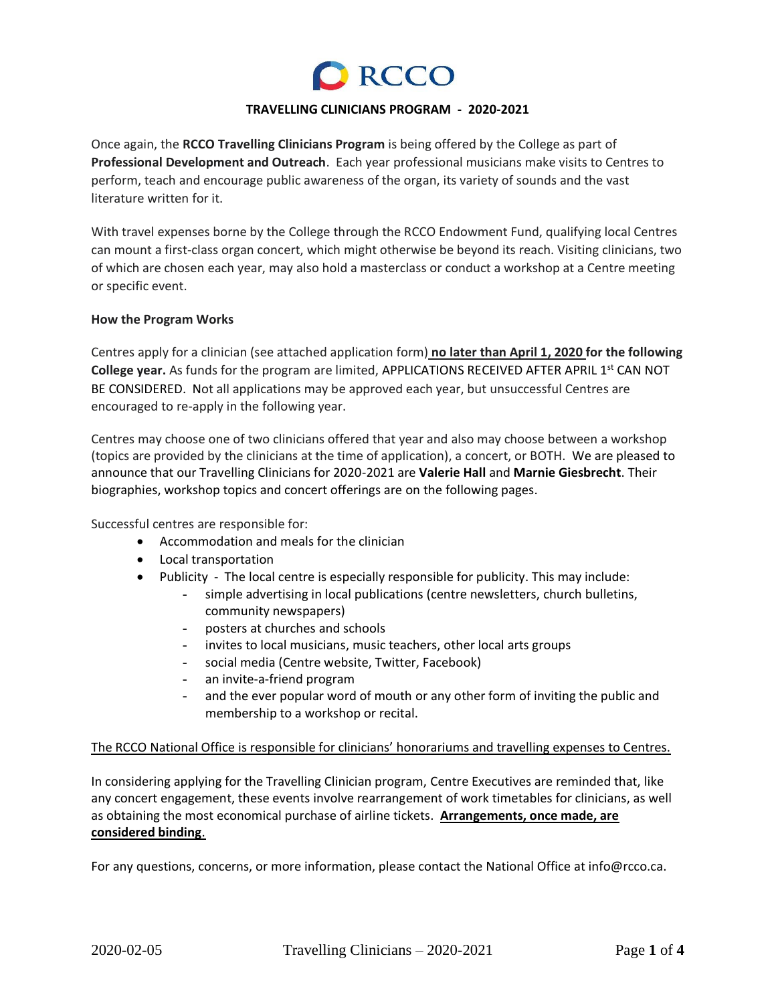# **Q** RCCO

#### **TRAVELLING CLINICIANS PROGRAM - 2020-2021**

Once again, the **RCCO Travelling Clinicians Program** is being offered by the College as part of **Professional Development and Outreach**. Each year professional musicians make visits to Centres to perform, teach and encourage public awareness of the organ, its variety of sounds and the vast literature written for it.

With travel expenses borne by the College through the RCCO Endowment Fund, qualifying local Centres can mount a first-class organ concert, which might otherwise be beyond its reach. Visiting clinicians, two of which are chosen each year, may also hold a masterclass or conduct a workshop at a Centre meeting or specific event.

#### **How the Program Works**

Centres apply for a clinician (see attached application form) **no later than April 1, 2020 for the following**  College year. As funds for the program are limited, APPLICATIONS RECEIVED AFTER APRIL 1<sup>st</sup> CAN NOT BE CONSIDERED. Not all applications may be approved each year, but unsuccessful Centres are encouraged to re-apply in the following year.

Centres may choose one of two clinicians offered that year and also may choose between a workshop (topics are provided by the clinicians at the time of application), a concert, or BOTH. We are pleased to announce that our Travelling Clinicians for 2020-2021 are **Valerie Hall** and **Marnie Giesbrecht**. Their biographies, workshop topics and concert offerings are on the following pages.

Successful centres are responsible for:

- Accommodation and meals for the clinician
- Local transportation
- Publicity The local centre is especially responsible for publicity. This may include:
	- simple advertising in local publications (centre newsletters, church bulletins, community newspapers)
	- posters at churches and schools
	- invites to local musicians, music teachers, other local arts groups
	- social media (Centre website, Twitter, Facebook)
	- an invite-a-friend program
	- and the ever popular word of mouth or any other form of inviting the public and membership to a workshop or recital.

## The RCCO National Office is responsible for clinicians' honorariums and travelling expenses to Centres.

In considering applying for the Travelling Clinician program, Centre Executives are reminded that, like any concert engagement, these events involve rearrangement of work timetables for clinicians, as well as obtaining the most economical purchase of airline tickets. **Arrangements, once made, are considered binding**.

For any questions, concerns, or more information, please contact the National Office at info@rcco.ca.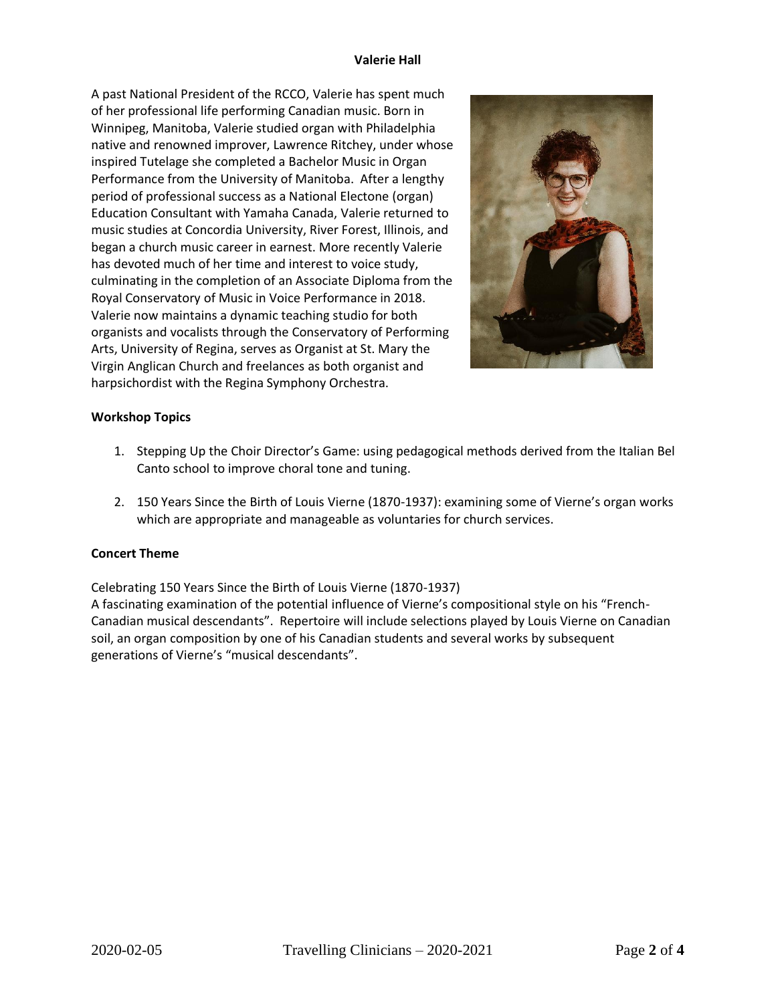#### **Valerie Hall**

A past National President of the RCCO, Valerie has spent much of her professional life performing Canadian music. Born in Winnipeg, Manitoba, Valerie studied organ with Philadelphia native and renowned improver, Lawrence Ritchey, under whose inspired Tutelage she completed a Bachelor Music in Organ Performance from the University of Manitoba. After a lengthy period of professional success as a National Electone (organ) Education Consultant with Yamaha Canada, Valerie returned to music studies at Concordia University, River Forest, Illinois, and began a church music career in earnest. More recently Valerie has devoted much of her time and interest to voice study, culminating in the completion of an Associate Diploma from the Royal Conservatory of Music in Voice Performance in 2018. Valerie now maintains a dynamic teaching studio for both organists and vocalists through the Conservatory of Performing Arts, University of Regina, serves as Organist at St. Mary the Virgin Anglican Church and freelances as both organist and harpsichordist with the Regina Symphony Orchestra.



# **Workshop Topics**

- 1. Stepping Up the Choir Director's Game: using pedagogical methods derived from the Italian Bel Canto school to improve choral tone and tuning.
- 2. 150 Years Since the Birth of Louis Vierne (1870-1937): examining some of Vierne's organ works which are appropriate and manageable as voluntaries for church services.

## **Concert Theme**

Celebrating 150 Years Since the Birth of Louis Vierne (1870-1937)

A fascinating examination of the potential influence of Vierne's compositional style on his "French-Canadian musical descendants". Repertoire will include selections played by Louis Vierne on Canadian soil, an organ composition by one of his Canadian students and several works by subsequent generations of Vierne's "musical descendants".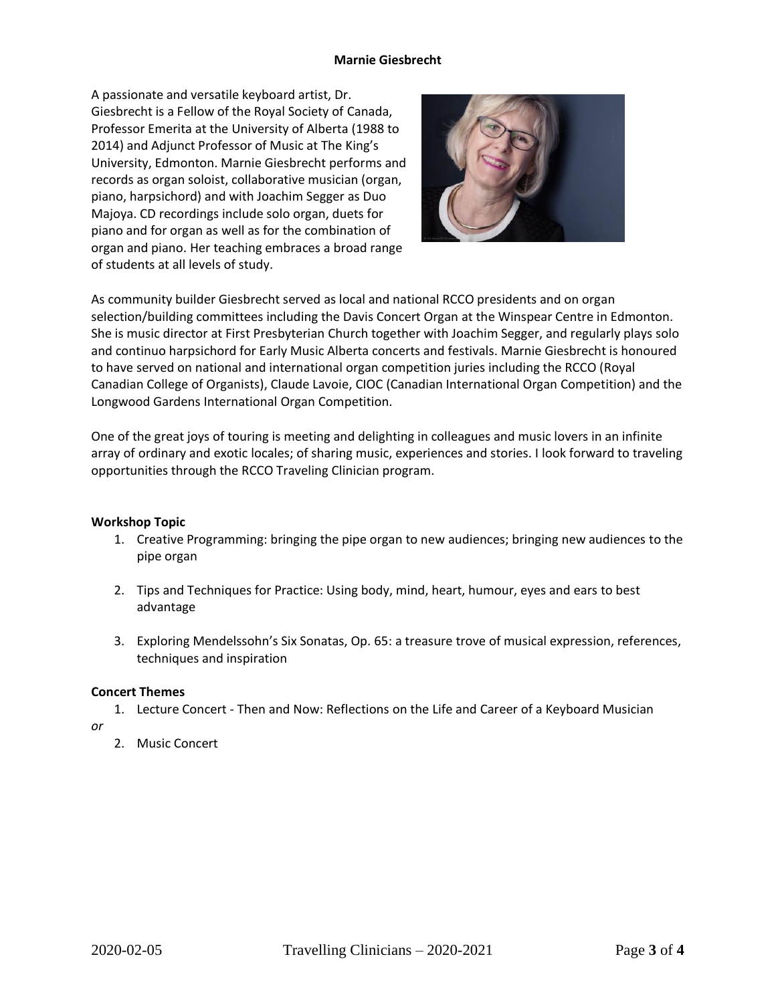#### **Marnie Giesbrecht**

A passionate and versatile keyboard artist, Dr. Giesbrecht is a Fellow of the Royal Society of Canada, Professor Emerita at the University of Alberta (1988 to 2014) and Adjunct Professor of Music at The King's University, Edmonton. Marnie Giesbrecht performs and records as organ soloist, collaborative musician (organ, piano, harpsichord) and with Joachim Segger as Duo Majoya. CD recordings include solo organ, duets for piano and for organ as well as for the combination of organ and piano. Her teaching embraces a broad range of students at all levels of study.



As community builder Giesbrecht served as local and national RCCO presidents and on organ selection/building committees including the Davis Concert Organ at the Winspear Centre in Edmonton. She is music director at First Presbyterian Church together with Joachim Segger, and regularly plays solo and continuo harpsichord for Early Music Alberta concerts and festivals. Marnie Giesbrecht is honoured to have served on national and international organ competition juries including the RCCO (Royal Canadian College of Organists), Claude Lavoie, CIOC (Canadian International Organ Competition) and the Longwood Gardens International Organ Competition.

One of the great joys of touring is meeting and delighting in colleagues and music lovers in an infinite array of ordinary and exotic locales; of sharing music, experiences and stories. I look forward to traveling opportunities through the RCCO Traveling Clinician program.

## **Workshop Topic**

- 1. Creative Programming: bringing the pipe organ to new audiences; bringing new audiences to the pipe organ
- 2. Tips and Techniques for Practice: Using body, mind, heart, humour, eyes and ears to best advantage
- 3. Exploring Mendelssohn's Six Sonatas, Op. 65: a treasure trove of musical expression, references, techniques and inspiration

## **Concert Themes**

1. Lecture Concert - Then and Now: Reflections on the Life and Career of a Keyboard Musician

*or*

2. Music Concert